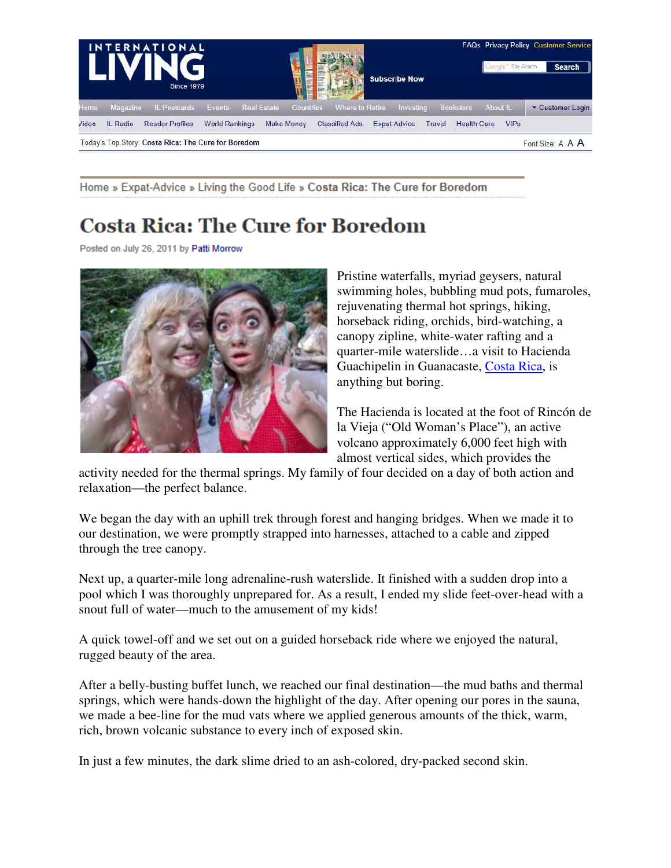

Home » Expat-Advice » Living the Good Life » Costa Rica: The Cure for Boredom

## **Costa Rica: The Cure for Boredom**

Posted on July 26, 2011 by Patti Morrow



Pristine waterfalls, myriad geysers, natural swimming holes, bubbling mud pots, fumaroles, rejuvenating thermal hot springs, hiking, horseback riding, orchids, bird-watching, a canopy zipline, white-water rafting and a quarter-mile waterslide…a visit to Hacienda Guachipelin in Guanacaste, Costa Rica, is anything but boring.

The Hacienda is located at the foot of Rincón de la Vieja ("Old Woman's Place"), an active volcano approximately 6,000 feet high with almost vertical sides, which provides the

activity needed for the thermal springs. My family of four decided on a day of both action and relaxation—the perfect balance.

We began the day with an uphill trek through forest and hanging bridges. When we made it to our destination, we were promptly strapped into harnesses, attached to a cable and zipped through the tree canopy.

Next up, a quarter-mile long adrenaline-rush waterslide. It finished with a sudden drop into a pool which I was thoroughly unprepared for. As a result, I ended my slide feet-over-head with a snout full of water—much to the amusement of my kids!

A quick towel-off and we set out on a guided horseback ride where we enjoyed the natural, rugged beauty of the area.

After a belly-busting buffet lunch, we reached our final destination—the mud baths and thermal springs, which were hands-down the highlight of the day. After opening our pores in the sauna, we made a bee-line for the mud vats where we applied generous amounts of the thick, warm, rich, brown volcanic substance to every inch of exposed skin.

In just a few minutes, the dark slime dried to an ash-colored, dry-packed second skin.